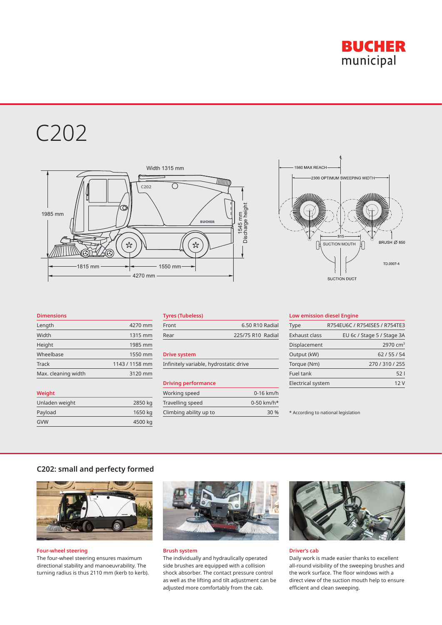

# C202



# 1560 MAX REACH -<br>2300 OPTIMUM SWEEPING WIDTH  $815$ BRUSH Ø 850 SUCTION MOUTH TD 0007-4 SUCTION DUCT

#### **Dimensions**

**Weight**

| Length              | 4270 mm        |
|---------------------|----------------|
| Width               | 1315 mm        |
| Height              | 1985 mm        |
| Wheelbase           | 1550 mm        |
| Track               | 1143 / 1158 mm |
| Max. cleaning width | 3120 mm        |

Unladen weight 2850 kg Payload **1650 kg** GVW 4500 kg

| .     |                   |
|-------|-------------------|
| Front | 6.50 R10 Radial   |
| Rear  | 225/75 R10 Radial |
|       |                   |

### **Drive system**

Infinitely variable, hydrostatic drive

#### **Driving performance**

| Working speed          | $0-16$ km/h              |
|------------------------|--------------------------|
| Travelling speed       | $0-50$ km/h <sup>*</sup> |
| Climbing ability up to | 30 %                     |

#### **Low emission diesel Engine**

| Type              | R754EU6C / R754ISE5 / R754TE3 |
|-------------------|-------------------------------|
| Exhaust class     | EU 6c / Stage 5 / Stage 3A    |
| Displacement      | 2970 $cm3$                    |
| Output (kW)       | 62/55/54                      |
| Torque (Nm)       | 270 / 310 / 255               |
| Fuel tank         | 521                           |
| Electrical system | 12 V                          |

\* According to national legislation

## **C202: small and perfecty formed**



**Four-wheel steering** The four-wheel steering ensures maximum directional stability and manoeuvrability. The turning radius is thus 2110 mm (kerb to kerb).



#### **Brush system**

The individually and hydraulically operated side brushes are equipped with a collision shock absorber. The contact pressure control as well as the lifting and tilt adjustment can be adjusted more comfortably from the cab.



#### **Driver's cab**

Daily work is made easier thanks to excellent all-round visibility of the sweeping brushes and the work surface. The floor windows with a direct view of the suction mouth help to ensure efficient and clean sweeping.